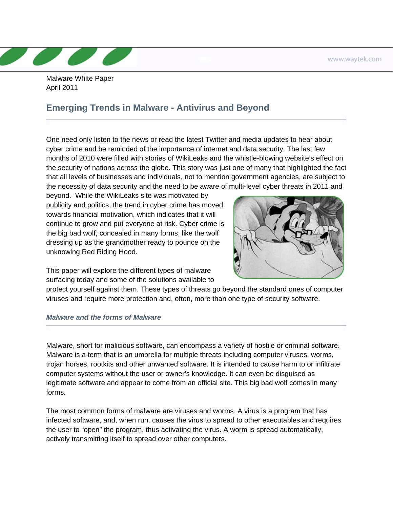Malware White Paper April 2011

## **Emerging Trends in Malware - Antivirus and Beyond**

One need only listen to the news or read the latest Twitter and media updates to hear about cyber crime and be reminded of the importance of internet and data security. The last few months of 2010 were filled with stories of WikiLeaks and the whistle-blowing website's effect on the security of nations across the globe. This story was just one of many that highlighted the fact that all levels of businesses and individuals, not to mention government agencies, are subject to the necessity of data security and the need to be aware of multi-level cyber threats in 2011 and

beyond. While the WikiLeaks site was motivated by publicity and politics, the trend in cyber crime has moved towards financial motivation, which indicates that it will continue to grow and put everyone at risk. Cyber crime is the big bad wolf, concealed in many forms, like the wolf dressing up as the grandmother ready to pounce on the unknowing Red Riding Hood.



This paper will explore the different types of malware surfacing today and some of the solutions available to

protect yourself against them. These types of threats go beyond the standard ones of computer viruses and require more protection and, often, more than one type of security software.

## *Malware and the forms of Malware*

Malware, short for malicious software, can encompass a variety of hostile or criminal software. Malware is a term that is an umbrella for multiple threats including computer viruses, worms, trojan horses, rootkits and other unwanted software. It is intended to cause harm to or infiltrate computer systems without the user or owner's knowledge. It can even be disguised as legitimate software and appear to come from an official site. This big bad wolf comes in many forms.

The most common forms of malware are viruses and worms. A virus is a program that has infected software, and, when run, causes the virus to spread to other executables and requires the user to "open" the program, thus activating the virus. A worm is spread automatically, actively transmitting itself to spread over other computers.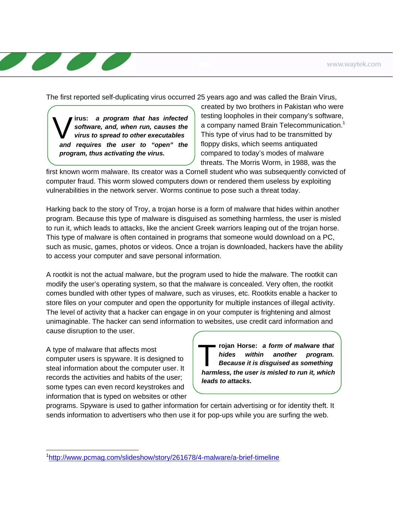The first reported self-duplicating virus occurred 25 years ago and was called the Brain Virus,

**irus:** *a program that has infected software, and, when run, causes the virus to spread to other executables and requires the user to "open" the program, thus activating the virus.* 

created by two brothers in Pakistan who were testing loopholes in their company's software, a company named Brain Telecommunication.<sup>1</sup> This type of virus had to be transmitted by floppy disks, which seems antiquated compared to today's modes of malware threats. The Morris Worm, in 1988, was the

first known worm malware. Its creator was a Cornell student who was subsequently convicted of computer fraud. This worm slowed computers down or rendered them useless by exploiting vulnerabilities in the network server. Worms continue to pose such a threat today.

Harking back to the story of Troy, a trojan horse is a form of malware that hides within another program. Because this type of malware is disguised as something harmless, the user is misled to run it, which leads to attacks, like the ancient Greek warriors leaping out of the trojan horse. This type of malware is often contained in programs that someone would download on a PC, such as music, games, photos or videos. Once a trojan is downloaded, hackers have the ability to access your computer and save personal information.

A rootkit is not the actual malware, but the program used to hide the malware. The rootkit can modify the user's operating system, so that the malware is concealed. Very often, the rootkit comes bundled with other types of malware, such as viruses, etc. Rootkits enable a hacker to store files on your computer and open the opportunity for multiple instances of illegal activity. The level of activity that a hacker can engage in on your computer is frightening and almost unimaginable. The hacker can send information to websites, use credit card information and cause disruption to the user.

A type of malware that affects most computer users is spyware. It is designed to steal information about the computer user. It records the activities and habits of the user; some types can even record keystrokes and information that is typed on websites or other

 $\overline{a}$ 

T**rojan Horse:** *a form of malware that hides within another program. Because it is disguised as something harmless, the user is misled to run it, which leads to attacks.* 

programs. Spyware is used to gather information for certain advertising or for identity theft. It sends information to advertisers who then use it for pop-ups while you are surfing the web.

<sup>1</sup> http://www.pcmag.com/slideshow/story/261678/4-malware/a-brief-timeline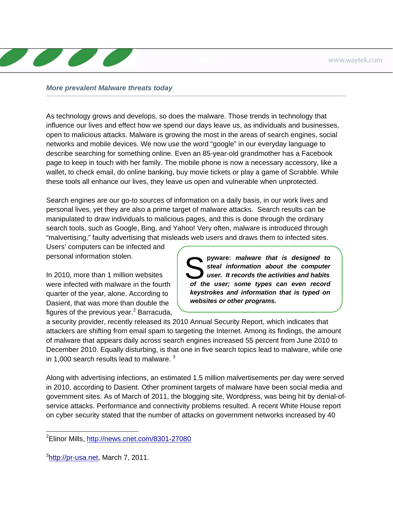## *More prevalent Malware threats today*

As technology grows and develops, so does the malware. Those trends in technology that influence our lives and effect how we spend our days leave us, as individuals and businesses, open to malicious attacks. Malware is growing the most in the areas of search engines, social networks and mobile devices. We now use the word "google" in our everyday language to describe searching for something online. Even an 85-year-old grandmother has a Facebook page to keep in touch with her family. The mobile phone is now a necessary accessory, like a wallet, to check email, do online banking, buy movie tickets or play a game of Scrabble. While these tools all enhance our lives, they leave us open and vulnerable when unprotected.

Search engines are our go-to sources of information on a daily basis, in our work lives and personal lives, yet they are also a prime target of malware attacks. Search results can be manipulated to draw individuals to malicious pages, and this is done through the ordinary search tools, such as Google, Bing, and Yahoo! Very often, malware is introduced through "malvertising," faulty advertising that misleads web users and draws them to infected sites.

Users' computers can be infected and personal information stolen.

In 2010, more than 1 million websites were infected with malware in the fourth quarter of the year, alone. According to Dasient, that was more than double the figures of the previous year. $^2$  Barracuda,

pyware: *malware that is designed to steal information about the computer user. It records the activities and habits of the user; some types can even record keystrokes and information that is typed on websites or other programs.* 

a security provider, recently released its 2010 Annual Security Report, which indicates that attackers are shifting from email spam to targeting the Internet. Among its findings, the amount of malware that appears daily across search engines increased 55 percent from June 2010 to December 2010. Equally disturbing, is that one in five search topics lead to malware, while one in 1,000 search results lead to malware.  $3$ 

Along with advertising infections, an estimated 1.5 million malvertisements per day were served in 2010, according to Dasient. Other prominent targets of malware have been social media and government sites. As of March of 2011, the blogging site, Wordpress, was being hit by denial-ofservice attacks. Performance and connectivity problems resulted. A recent White House report on cyber security stated that the number of attacks on government networks increased by 40

<sup>-</sup><sup>2</sup>Elinor Mills, <u>http://news.cnet.com/8301-27080</u>

<sup>&</sup>lt;sup>3</sup>[http://pr-usa.net,](http://pr-usa.net) March 7, 2011.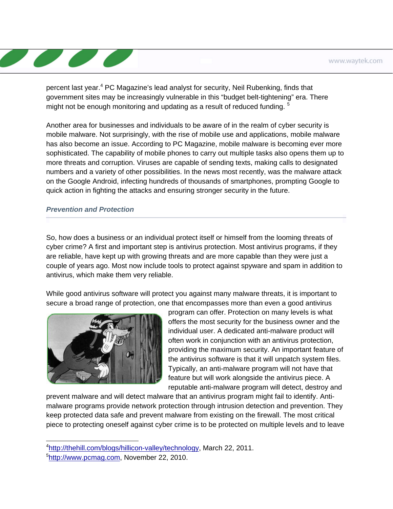percent last year.<sup>4</sup> PC Magazine's lead analyst for security, Neil Rubenking, finds that government sites may be increasingly vulnerable in this "budget belt-tightening" era. There might not be enough monitoring and updating as a result of reduced funding.<sup>5</sup>

Another area for businesses and individuals to be aware of in the realm of cyber security is mobile malware. Not surprisingly, with the rise of mobile use and applications, mobile malware has also become an issue. According to PC Magazine, mobile malware is becoming ever more sophisticated. The capability of mobile phones to carry out multiple tasks also opens them up to more threats and corruption. Viruses are capable of sending texts, making calls to designated numbers and a variety of other possibilities. In the news most recently, was the malware attack on the Google Android, infecting hundreds of thousands of smartphones, prompting Google to quick action in fighting the attacks and ensuring stronger security in the future.

## *Prevention and Protection*

So, how does a business or an individual protect itself or himself from the looming threats of cyber crime? A first and important step is antivirus protection. Most antivirus programs, if they are reliable, have kept up with growing threats and are more capable than they were just a couple of years ago. Most now include tools to protect against spyware and spam in addition to antivirus, which make them very reliable.

While good antivirus software will protect you against many malware threats, it is important to secure a broad range of protection, one that encompasses more than even a good antivirus



program can offer. Protection on many levels is what offers the most security for the business owner and the individual user. A dedicated anti-malware product will often work in conjunction with an antivirus protection, providing the maximum security. An important feature of the antivirus software is that it will unpatch system files. Typically, an anti-malware program will not have that feature but will work alongside the antivirus piece. A reputable anti-malware program will detect, destroy and

prevent malware and will detect malware that an antivirus program might fail to identify. Antimalware programs provide network protection through intrusion detection and prevention. They keep protected data safe and prevent malware from existing on the firewall. The most critical piece to protecting oneself against cyber crime is to be protected on multiple levels and to leave

-

<sup>&</sup>lt;sup>4</sup><http://thehill.com/blogs/hillicon-valley/technology>, March 22, 2011.

<sup>&</sup>lt;sup>5</sup>http://www.pcmag.com, November 22, 2010.